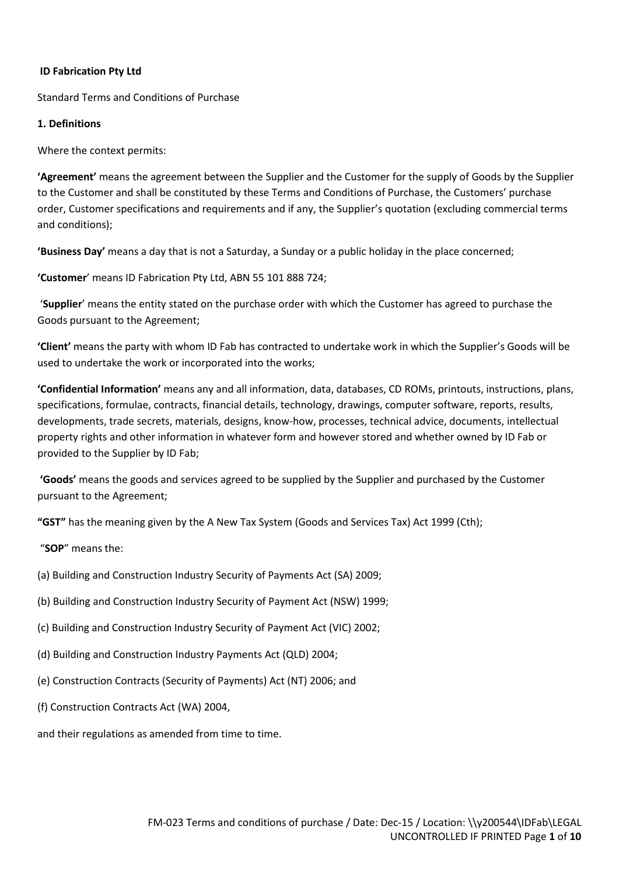### **ID Fabrication Pty Ltd**

Standard Terms and Conditions of Purchase

#### **1. Definitions**

Where the context permits:

**'Agreement'** means the agreement between the Supplier and the Customer for the supply of Goods by the Supplier to the Customer and shall be constituted by these Terms and Conditions of Purchase, the Customers' purchase order, Customer specifications and requirements and if any, the Supplier's quotation (excluding commercial terms and conditions);

**'Business Day'** means a day that is not a Saturday, a Sunday or a public holiday in the place concerned;

**'Customer**' means ID Fabrication Pty Ltd, ABN 55 101 888 724;

 '**Supplier**' means the entity stated on the purchase order with which the Customer has agreed to purchase the Goods pursuant to the Agreement;

**'Client'** means the party with whom ID Fab has contracted to undertake work in which the Supplier's Goods will be used to undertake the work or incorporated into the works;

**'Confidential Information'** means any and all information, data, databases, CD ROMs, printouts, instructions, plans, specifications, formulae, contracts, financial details, technology, drawings, computer software, reports, results, developments, trade secrets, materials, designs, know-how, processes, technical advice, documents, intellectual property rights and other information in whatever form and however stored and whether owned by ID Fab or provided to the Supplier by ID Fab;

**'Goods'** means the goods and services agreed to be supplied by the Supplier and purchased by the Customer pursuant to the Agreement;

**"GST"** has the meaning given by the A New Tax System (Goods and Services Tax) Act 1999 (Cth);

"**SOP**" means the:

- (a) Building and Construction Industry Security of Payments Act (SA) 2009;
- (b) Building and Construction Industry Security of Payment Act (NSW) 1999;
- (c) Building and Construction Industry Security of Payment Act (VIC) 2002;
- (d) Building and Construction Industry Payments Act (QLD) 2004;
- (e) Construction Contracts (Security of Payments) Act (NT) 2006; and
- (f) Construction Contracts Act (WA) 2004,

and their regulations as amended from time to time.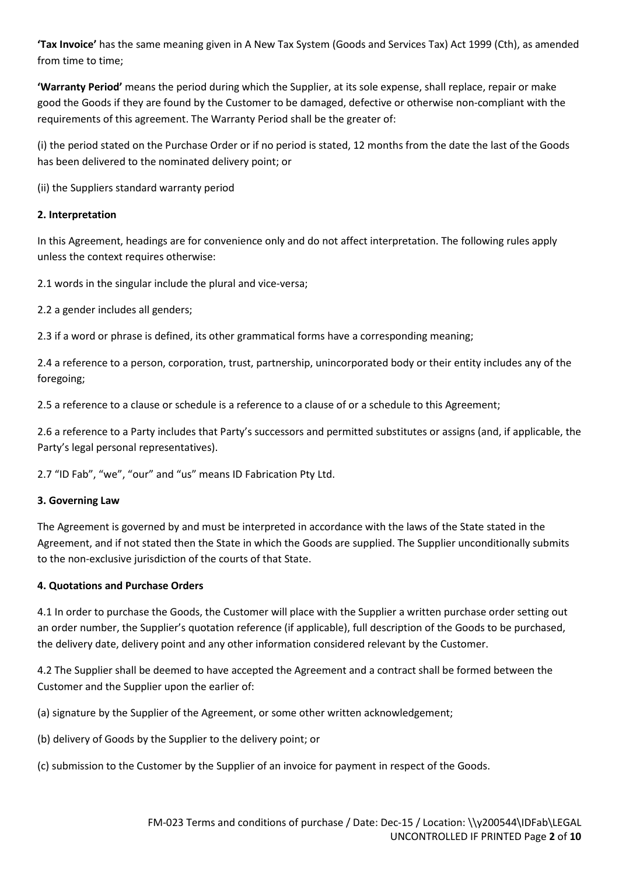**'Tax Invoice'** has the same meaning given in A New Tax System (Goods and Services Tax) Act 1999 (Cth), as amended from time to time;

**'Warranty Period'** means the period during which the Supplier, at its sole expense, shall replace, repair or make good the Goods if they are found by the Customer to be damaged, defective or otherwise non-compliant with the requirements of this agreement. The Warranty Period shall be the greater of:

(i) the period stated on the Purchase Order or if no period is stated, 12 months from the date the last of the Goods has been delivered to the nominated delivery point; or

(ii) the Suppliers standard warranty period

## **2. Interpretation**

In this Agreement, headings are for convenience only and do not affect interpretation. The following rules apply unless the context requires otherwise:

2.1 words in the singular include the plural and vice-versa;

2.2 a gender includes all genders;

2.3 if a word or phrase is defined, its other grammatical forms have a corresponding meaning;

2.4 a reference to a person, corporation, trust, partnership, unincorporated body or their entity includes any of the foregoing;

2.5 a reference to a clause or schedule is a reference to a clause of or a schedule to this Agreement;

2.6 a reference to a Party includes that Party's successors and permitted substitutes or assigns (and, if applicable, the Party's legal personal representatives).

2.7 "ID Fab", "we", "our" and "us" means ID Fabrication Pty Ltd.

## **3. Governing Law**

The Agreement is governed by and must be interpreted in accordance with the laws of the State stated in the Agreement, and if not stated then the State in which the Goods are supplied. The Supplier unconditionally submits to the non-exclusive jurisdiction of the courts of that State.

## **4. Quotations and Purchase Orders**

4.1 In order to purchase the Goods, the Customer will place with the Supplier a written purchase order setting out an order number, the Supplier's quotation reference (if applicable), full description of the Goods to be purchased, the delivery date, delivery point and any other information considered relevant by the Customer.

4.2 The Supplier shall be deemed to have accepted the Agreement and a contract shall be formed between the Customer and the Supplier upon the earlier of:

(a) signature by the Supplier of the Agreement, or some other written acknowledgement;

(b) delivery of Goods by the Supplier to the delivery point; or

(c) submission to the Customer by the Supplier of an invoice for payment in respect of the Goods.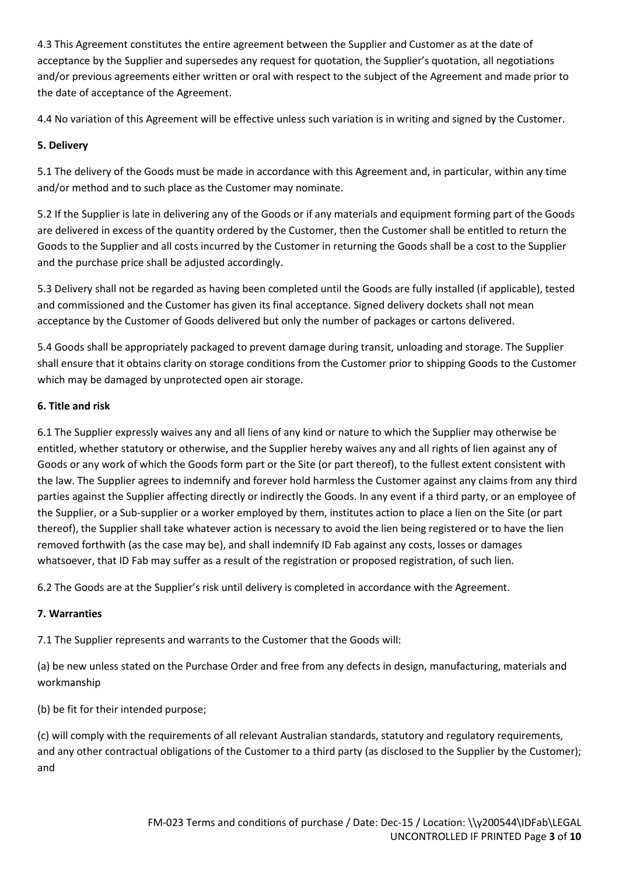4.3 This Agreement constitutes the entire agreement between the Supplier and Customer as at the date of acceptance by the Supplier and supersedes any request for quotation, the Supplier's quotation, all negotiations and/or previous agreements either written or oral with respect to the subject of the Agreement and made prior to the date of acceptance of the Agreement.

4.4 No variation of this Agreement will be effective unless such variation is in writing and signed by the Customer.

## **5. Delivery**

5.1 The delivery of the Goods must be made in accordance with this Agreement and, in particular, within any time and/or method and to such place as the Customer may nominate.

5.2 If the Supplier is late in delivering any of the Goods or if any materials and equipment forming part of the Goods are delivered in excess of the quantity ordered by the Customer, then the Customer shall be entitled to return the Goods to the Supplier and all costs incurred by the Customer in returning the Goods shall be a cost to the Supplier and the purchase price shall be adjusted accordingly.

5.3 Delivery shall not be regarded as having been completed until the Goods are fully installed (if applicable), tested and commissioned and the Customer has given its final acceptance. Signed delivery dockets shall not mean acceptance by the Customer of Goods delivered but only the number of packages or cartons delivered.

5.4 Goods shall be appropriately packaged to prevent damage during transit, unloading and storage. The Supplier shall ensure that it obtains clarity on storage conditions from the Customer prior to shipping Goods to the Customer which may be damaged by unprotected open air storage.

## **6. Title and risk**

6.1 The Supplier expressly waives any and all liens of any kind or nature to which the Supplier may otherwise be entitled, whether statutory or otherwise, and the Supplier hereby waives any and all rights of lien against any of Goods or any work of which the Goods form part or the Site (or part thereof), to the fullest extent consistent with the law. The Supplier agrees to indemnify and forever hold harmless the Customer against any claims from any third parties against the Supplier affecting directly or indirectly the Goods. In any event if a third party, or an employee of the Supplier, or a Sub-supplier or a worker employed by them, institutes action to place a lien on the Site (or part thereof), the Supplier shall take whatever action is necessary to avoid the lien being registered or to have the lien removed forthwith (as the case may be), and shall indemnify ID Fab against any costs, losses or damages whatsoever, that ID Fab may suffer as a result of the registration or proposed registration, of such lien.

6.2 The Goods are at the Supplier's risk until delivery is completed in accordance with the Agreement.

# **7. Warranties**

7.1 The Supplier represents and warrants to the Customer that the Goods will:

(a) be new unless stated on the Purchase Order and free from any defects in design, manufacturing, materials and workmanship

(b) be fit for their intended purpose;

(c) will comply with the requirements of all relevant Australian standards, statutory and regulatory requirements, and any other contractual obligations of the Customer to a third party (as disclosed to the Supplier by the Customer); and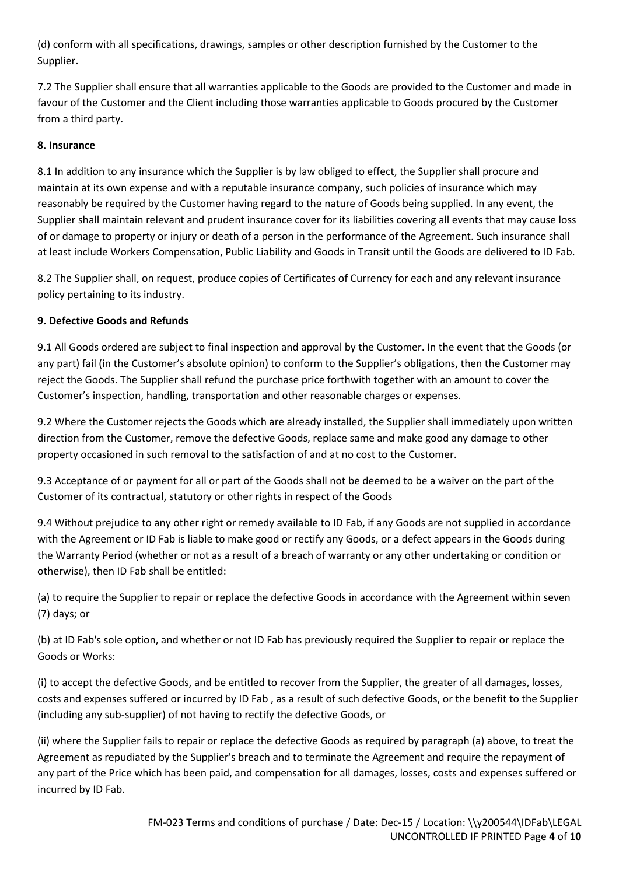(d) conform with all specifications, drawings, samples or other description furnished by the Customer to the Supplier.

7.2 The Supplier shall ensure that all warranties applicable to the Goods are provided to the Customer and made in favour of the Customer and the Client including those warranties applicable to Goods procured by the Customer from a third party.

## **8. Insurance**

8.1 In addition to any insurance which the Supplier is by law obliged to effect, the Supplier shall procure and maintain at its own expense and with a reputable insurance company, such policies of insurance which may reasonably be required by the Customer having regard to the nature of Goods being supplied. In any event, the Supplier shall maintain relevant and prudent insurance cover for its liabilities covering all events that may cause loss of or damage to property or injury or death of a person in the performance of the Agreement. Such insurance shall at least include Workers Compensation, Public Liability and Goods in Transit until the Goods are delivered to ID Fab.

8.2 The Supplier shall, on request, produce copies of Certificates of Currency for each and any relevant insurance policy pertaining to its industry.

## **9. Defective Goods and Refunds**

9.1 All Goods ordered are subject to final inspection and approval by the Customer. In the event that the Goods (or any part) fail (in the Customer's absolute opinion) to conform to the Supplier's obligations, then the Customer may reject the Goods. The Supplier shall refund the purchase price forthwith together with an amount to cover the Customer's inspection, handling, transportation and other reasonable charges or expenses.

9.2 Where the Customer rejects the Goods which are already installed, the Supplier shall immediately upon written direction from the Customer, remove the defective Goods, replace same and make good any damage to other property occasioned in such removal to the satisfaction of and at no cost to the Customer.

9.3 Acceptance of or payment for all or part of the Goods shall not be deemed to be a waiver on the part of the Customer of its contractual, statutory or other rights in respect of the Goods

9.4 Without prejudice to any other right or remedy available to ID Fab, if any Goods are not supplied in accordance with the Agreement or ID Fab is liable to make good or rectify any Goods, or a defect appears in the Goods during the Warranty Period (whether or not as a result of a breach of warranty or any other undertaking or condition or otherwise), then ID Fab shall be entitled:

(a) to require the Supplier to repair or replace the defective Goods in accordance with the Agreement within seven (7) days; or

(b) at ID Fab's sole option, and whether or not ID Fab has previously required the Supplier to repair or replace the Goods or Works:

(i) to accept the defective Goods, and be entitled to recover from the Supplier, the greater of all damages, losses, costs and expenses suffered or incurred by ID Fab , as a result of such defective Goods, or the benefit to the Supplier (including any sub-supplier) of not having to rectify the defective Goods, or

(ii) where the Supplier fails to repair or replace the defective Goods as required by paragraph (a) above, to treat the Agreement as repudiated by the Supplier's breach and to terminate the Agreement and require the repayment of any part of the Price which has been paid, and compensation for all damages, losses, costs and expenses suffered or incurred by ID Fab.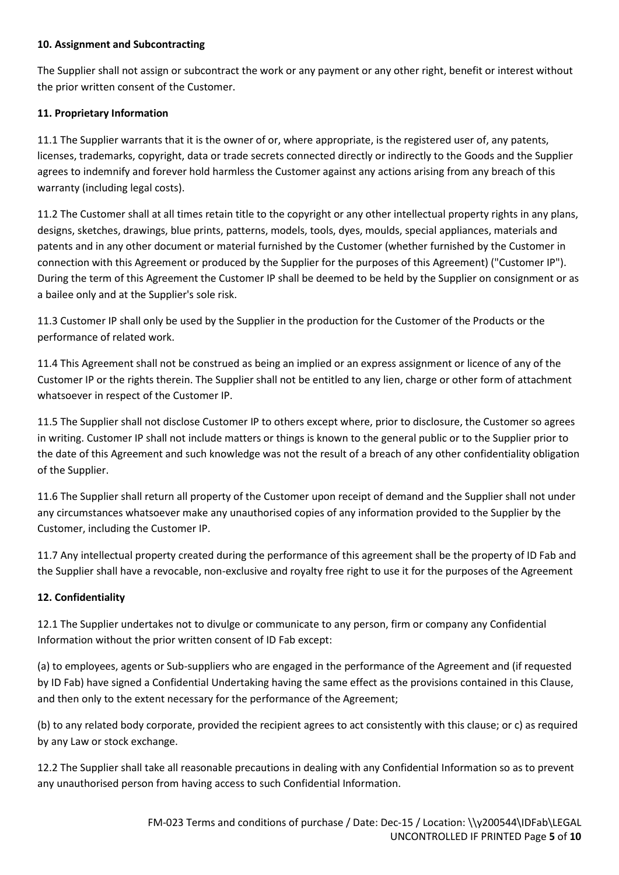### **10. Assignment and Subcontracting**

The Supplier shall not assign or subcontract the work or any payment or any other right, benefit or interest without the prior written consent of the Customer.

## **11. Proprietary Information**

11.1 The Supplier warrants that it is the owner of or, where appropriate, is the registered user of, any patents, licenses, trademarks, copyright, data or trade secrets connected directly or indirectly to the Goods and the Supplier agrees to indemnify and forever hold harmless the Customer against any actions arising from any breach of this warranty (including legal costs).

11.2 The Customer shall at all times retain title to the copyright or any other intellectual property rights in any plans, designs, sketches, drawings, blue prints, patterns, models, tools, dyes, moulds, special appliances, materials and patents and in any other document or material furnished by the Customer (whether furnished by the Customer in connection with this Agreement or produced by the Supplier for the purposes of this Agreement) ("Customer IP"). During the term of this Agreement the Customer IP shall be deemed to be held by the Supplier on consignment or as a bailee only and at the Supplier's sole risk.

11.3 Customer IP shall only be used by the Supplier in the production for the Customer of the Products or the performance of related work.

11.4 This Agreement shall not be construed as being an implied or an express assignment or licence of any of the Customer IP or the rights therein. The Supplier shall not be entitled to any lien, charge or other form of attachment whatsoever in respect of the Customer IP.

11.5 The Supplier shall not disclose Customer IP to others except where, prior to disclosure, the Customer so agrees in writing. Customer IP shall not include matters or things is known to the general public or to the Supplier prior to the date of this Agreement and such knowledge was not the result of a breach of any other confidentiality obligation of the Supplier.

11.6 The Supplier shall return all property of the Customer upon receipt of demand and the Supplier shall not under any circumstances whatsoever make any unauthorised copies of any information provided to the Supplier by the Customer, including the Customer IP.

11.7 Any intellectual property created during the performance of this agreement shall be the property of ID Fab and the Supplier shall have a revocable, non-exclusive and royalty free right to use it for the purposes of the Agreement

# **12. Confidentiality**

12.1 The Supplier undertakes not to divulge or communicate to any person, firm or company any Confidential Information without the prior written consent of ID Fab except:

(a) to employees, agents or Sub-suppliers who are engaged in the performance of the Agreement and (if requested by ID Fab) have signed a Confidential Undertaking having the same effect as the provisions contained in this Clause, and then only to the extent necessary for the performance of the Agreement;

(b) to any related body corporate, provided the recipient agrees to act consistently with this clause; or c) as required by any Law or stock exchange.

12.2 The Supplier shall take all reasonable precautions in dealing with any Confidential Information so as to prevent any unauthorised person from having access to such Confidential Information.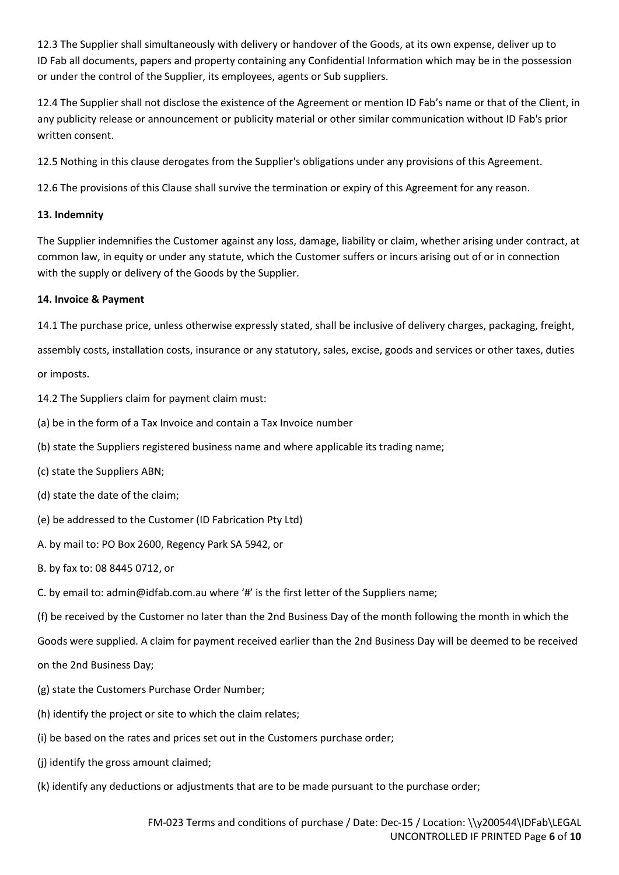12.3 The Supplier shall simultaneously with delivery or handover of the Goods, at its own expense, deliver up to ID Fab all documents, papers and property containing any Confidential Information which may be in the possession or under the control of the Supplier, its employees, agents or Sub suppliers.

12.4 The Supplier shall not disclose the existence of the Agreement or mention ID Fab's name or that of the Client, in any publicity release or announcement or publicity material or other similar communication without ID Fab's prior written consent.

12.5 Nothing in this clause derogates from the Supplier's obligations under any provisions of this Agreement.

12.6 The provisions of this Clause shall survive the termination or expiry of this Agreement for any reason.

### **13. Indemnity**

The Supplier indemnifies the Customer against any loss, damage, liability or claim, whether arising under contract, at common law, in equity or under any statute, which the Customer suffers or incurs arising out of or in connection with the supply or delivery of the Goods by the Supplier.

## **14. Invoice & Payment**

14.1 The purchase price, unless otherwise expressly stated, shall be inclusive of delivery charges, packaging, freight,

assembly costs, installation costs, insurance or any statutory, sales, excise, goods and services or other taxes, duties or imposts.

14.2 The Suppliers claim for payment claim must:

(a) be in the form of a Tax Invoice and contain a Tax Invoice number

(b) state the Suppliers registered business name and where applicable its trading name;

(c) state the Suppliers ABN;

(d) state the date of the claim;

(e) be addressed to the Customer (ID Fabrication Pty Ltd)

A. by mail to: PO Box 2600, Regency Park SA 5942, or

B. by fax to: 08 8445 0712, or

C. by email to: admin@idfab.com.au where '#' is the first letter of the Suppliers name;

(f) be received by the Customer no later than the 2nd Business Day of the month following the month in which the

Goods were supplied. A claim for payment received earlier than the 2nd Business Day will be deemed to be received

on the 2nd Business Day;

(g) state the Customers Purchase Order Number;

(h) identify the project or site to which the claim relates;

(i) be based on the rates and prices set out in the Customers purchase order;

(j) identify the gross amount claimed;

(k) identify any deductions or adjustments that are to be made pursuant to the purchase order;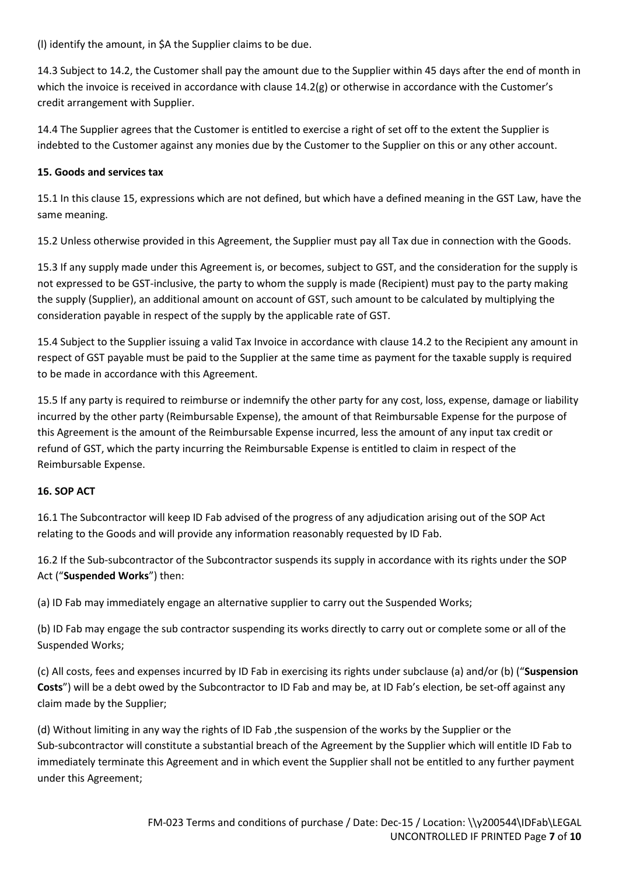(l) identify the amount, in \$A the Supplier claims to be due.

14.3 Subject to 14.2, the Customer shall pay the amount due to the Supplier within 45 days after the end of month in which the invoice is received in accordance with clause 14.2(g) or otherwise in accordance with the Customer's credit arrangement with Supplier.

14.4 The Supplier agrees that the Customer is entitled to exercise a right of set off to the extent the Supplier is indebted to the Customer against any monies due by the Customer to the Supplier on this or any other account.

### **15. Goods and services tax**

15.1 In this clause 15, expressions which are not defined, but which have a defined meaning in the GST Law, have the same meaning.

15.2 Unless otherwise provided in this Agreement, the Supplier must pay all Tax due in connection with the Goods.

15.3 If any supply made under this Agreement is, or becomes, subject to GST, and the consideration for the supply is not expressed to be GST-inclusive, the party to whom the supply is made (Recipient) must pay to the party making the supply (Supplier), an additional amount on account of GST, such amount to be calculated by multiplying the consideration payable in respect of the supply by the applicable rate of GST.

15.4 Subject to the Supplier issuing a valid Tax Invoice in accordance with clause 14.2 to the Recipient any amount in respect of GST payable must be paid to the Supplier at the same time as payment for the taxable supply is required to be made in accordance with this Agreement.

15.5 If any party is required to reimburse or indemnify the other party for any cost, loss, expense, damage or liability incurred by the other party (Reimbursable Expense), the amount of that Reimbursable Expense for the purpose of this Agreement is the amount of the Reimbursable Expense incurred, less the amount of any input tax credit or refund of GST, which the party incurring the Reimbursable Expense is entitled to claim in respect of the Reimbursable Expense.

#### **16. SOP ACT**

16.1 The Subcontractor will keep ID Fab advised of the progress of any adjudication arising out of the SOP Act relating to the Goods and will provide any information reasonably requested by ID Fab.

16.2 If the Sub-subcontractor of the Subcontractor suspends its supply in accordance with its rights under the SOP Act ("**Suspended Works**") then:

(a) ID Fab may immediately engage an alternative supplier to carry out the Suspended Works;

(b) ID Fab may engage the sub contractor suspending its works directly to carry out or complete some or all of the Suspended Works;

(c) All costs, fees and expenses incurred by ID Fab in exercising its rights under subclause (a) and/or (b) ("**Suspension Costs**") will be a debt owed by the Subcontractor to ID Fab and may be, at ID Fab's election, be set-off against any claim made by the Supplier;

(d) Without limiting in any way the rights of ID Fab ,the suspension of the works by the Supplier or the Sub-subcontractor will constitute a substantial breach of the Agreement by the Supplier which will entitle ID Fab to immediately terminate this Agreement and in which event the Supplier shall not be entitled to any further payment under this Agreement;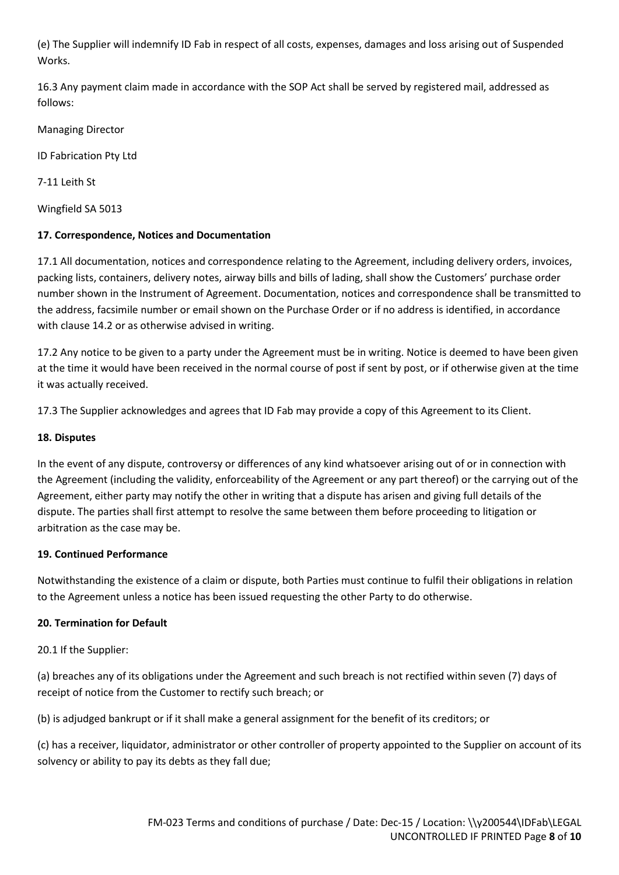(e) The Supplier will indemnify ID Fab in respect of all costs, expenses, damages and loss arising out of Suspended Works.

16.3 Any payment claim made in accordance with the SOP Act shall be served by registered mail, addressed as follows:

Managing Director

ID Fabrication Pty Ltd

7-11 Leith St

Wingfield SA 5013

## **17. Correspondence, Notices and Documentation**

17.1 All documentation, notices and correspondence relating to the Agreement, including delivery orders, invoices, packing lists, containers, delivery notes, airway bills and bills of lading, shall show the Customers' purchase order number shown in the Instrument of Agreement. Documentation, notices and correspondence shall be transmitted to the address, facsimile number or email shown on the Purchase Order or if no address is identified, in accordance with clause 14.2 or as otherwise advised in writing.

17.2 Any notice to be given to a party under the Agreement must be in writing. Notice is deemed to have been given at the time it would have been received in the normal course of post if sent by post, or if otherwise given at the time it was actually received.

17.3 The Supplier acknowledges and agrees that ID Fab may provide a copy of this Agreement to its Client.

## **18. Disputes**

In the event of any dispute, controversy or differences of any kind whatsoever arising out of or in connection with the Agreement (including the validity, enforceability of the Agreement or any part thereof) or the carrying out of the Agreement, either party may notify the other in writing that a dispute has arisen and giving full details of the dispute. The parties shall first attempt to resolve the same between them before proceeding to litigation or arbitration as the case may be.

## **19. Continued Performance**

Notwithstanding the existence of a claim or dispute, both Parties must continue to fulfil their obligations in relation to the Agreement unless a notice has been issued requesting the other Party to do otherwise.

## **20. Termination for Default**

20.1 If the Supplier:

(a) breaches any of its obligations under the Agreement and such breach is not rectified within seven (7) days of receipt of notice from the Customer to rectify such breach; or

(b) is adjudged bankrupt or if it shall make a general assignment for the benefit of its creditors; or

(c) has a receiver, liquidator, administrator or other controller of property appointed to the Supplier on account of its solvency or ability to pay its debts as they fall due;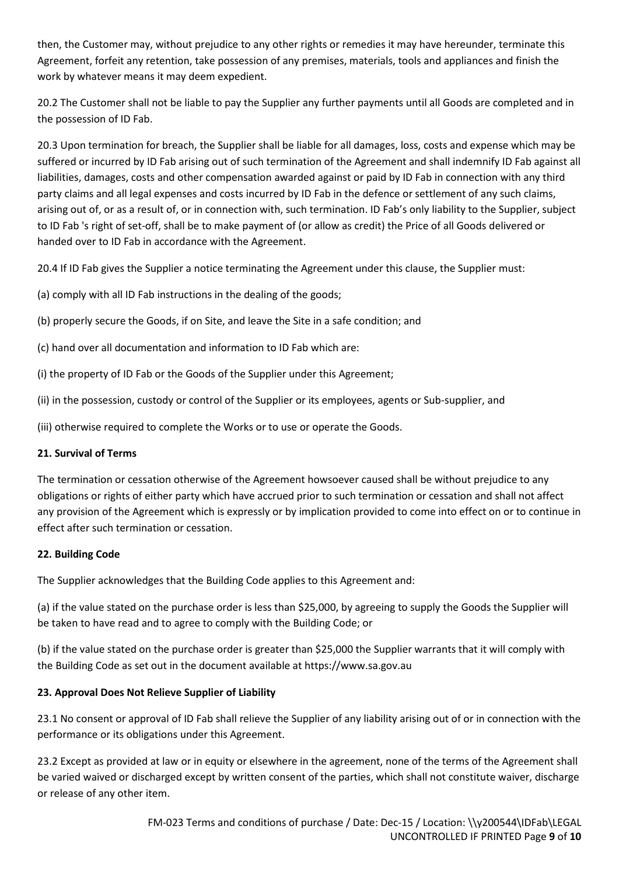then, the Customer may, without prejudice to any other rights or remedies it may have hereunder, terminate this Agreement, forfeit any retention, take possession of any premises, materials, tools and appliances and finish the work by whatever means it may deem expedient.

20.2 The Customer shall not be liable to pay the Supplier any further payments until all Goods are completed and in the possession of ID Fab.

20.3 Upon termination for breach, the Supplier shall be liable for all damages, loss, costs and expense which may be suffered or incurred by ID Fab arising out of such termination of the Agreement and shall indemnify ID Fab against all liabilities, damages, costs and other compensation awarded against or paid by ID Fab in connection with any third party claims and all legal expenses and costs incurred by ID Fab in the defence or settlement of any such claims, arising out of, or as a result of, or in connection with, such termination. ID Fab's only liability to the Supplier, subject to ID Fab 's right of set-off, shall be to make payment of (or allow as credit) the Price of all Goods delivered or handed over to ID Fab in accordance with the Agreement.

20.4 If ID Fab gives the Supplier a notice terminating the Agreement under this clause, the Supplier must:

(a) comply with all ID Fab instructions in the dealing of the goods;

(b) properly secure the Goods, if on Site, and leave the Site in a safe condition; and

(c) hand over all documentation and information to ID Fab which are:

(i) the property of ID Fab or the Goods of the Supplier under this Agreement;

(ii) in the possession, custody or control of the Supplier or its employees, agents or Sub-supplier, and

(iii) otherwise required to complete the Works or to use or operate the Goods.

# **21. Survival of Terms**

The termination or cessation otherwise of the Agreement howsoever caused shall be without prejudice to any obligations or rights of either party which have accrued prior to such termination or cessation and shall not affect any provision of the Agreement which is expressly or by implication provided to come into effect on or to continue in effect after such termination or cessation.

# **22. Building Code**

The Supplier acknowledges that the Building Code applies to this Agreement and:

(a) if the value stated on the purchase order is less than \$25,000, by agreeing to supply the Goods the Supplier will be taken to have read and to agree to comply with the Building Code; or

(b) if the value stated on the purchase order is greater than \$25,000 the Supplier warrants that it will comply with the Building Code as set out in the document available at https://www.sa.gov.au

# **23. Approval Does Not Relieve Supplier of Liability**

23.1 No consent or approval of ID Fab shall relieve the Supplier of any liability arising out of or in connection with the performance or its obligations under this Agreement.

23.2 Except as provided at law or in equity or elsewhere in the agreement, none of the terms of the Agreement shall be varied waived or discharged except by written consent of the parties, which shall not constitute waiver, discharge or release of any other item.